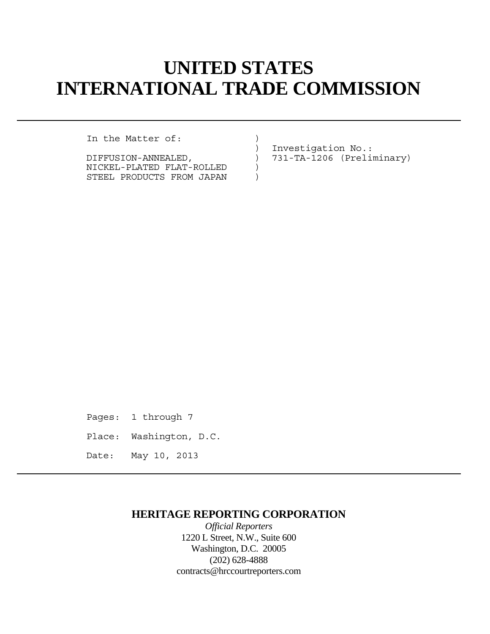# **UNITED STATES INTERNATIONAL TRADE COMMISSION**

In the Matter of:  $)$ 

NICKEL-PLATED FLAT-ROLLED ) STEEL PRODUCTS FROM JAPAN )

 ) Investigation No.: DIFFUSION-ANNEALED, ) 731-TA-1206 (Preliminary)

Pages: 1 through 7 Place: Washington, D.C. Date: May 10, 2013

## **HERITAGE REPORTING CORPORATION**

*Official Reporters* 1220 L Street, N.W., Suite 600 Washington, D.C. 20005 (202) 628-4888 contracts@hrccourtreporters.com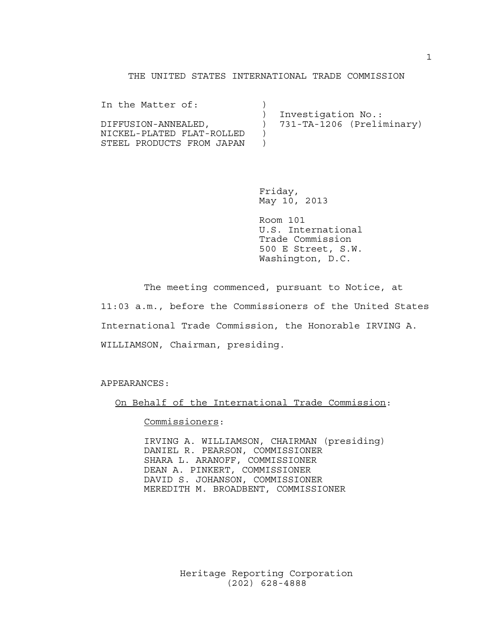#### THE UNITED STATES INTERNATIONAL TRADE COMMISSION

| In the Matter of:         |                           |
|---------------------------|---------------------------|
|                           | Investigation No.:        |
| DIFFUSION-ANNEALED.       | 731-TA-1206 (Preliminary) |
| NICKEL-PLATED FLAT-ROLLED |                           |
| STEEL PRODUCTS FROM JAPAN |                           |

 Friday, May 10, 2013

 Room 101 U.S. International Trade Commission 500 E Street, S.W. Washington, D.C.

 The meeting commenced, pursuant to Notice, at 11:03 a.m., before the Commissioners of the United States International Trade Commission, the Honorable IRVING A. WILLIAMSON, Chairman, presiding.

APPEARANCES:

On Behalf of the International Trade Commission:

Commissioners:

 IRVING A. WILLIAMSON, CHAIRMAN (presiding) DANIEL R. PEARSON, COMMISSIONER SHARA L. ARANOFF, COMMISSIONER DEAN A. PINKERT, COMMISSIONER DAVID S. JOHANSON, COMMISSIONER MEREDITH M. BROADBENT, COMMISSIONER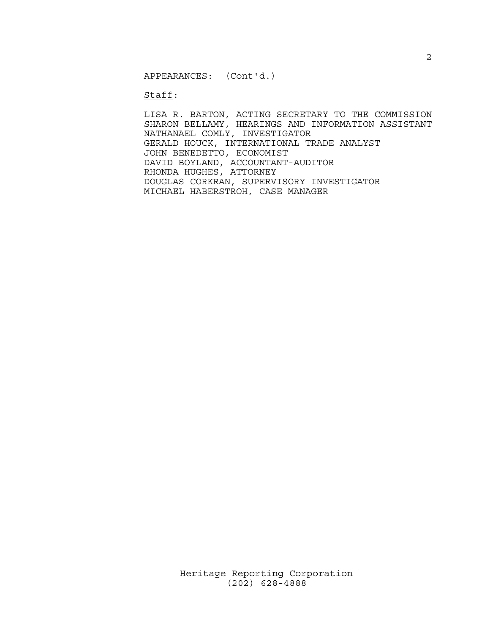APPEARANCES: (Cont'd.)

### Staff:

 LISA R. BARTON, ACTING SECRETARY TO THE COMMISSION SHARON BELLAMY, HEARINGS AND INFORMATION ASSISTANT NATHANAEL COMLY, INVESTIGATOR GERALD HOUCK, INTERNATIONAL TRADE ANALYST JOHN BENEDETTO, ECONOMIST DAVID BOYLAND, ACCOUNTANT-AUDITOR RHONDA HUGHES, ATTORNEY DOUGLAS CORKRAN, SUPERVISORY INVESTIGATOR MICHAEL HABERSTROH, CASE MANAGER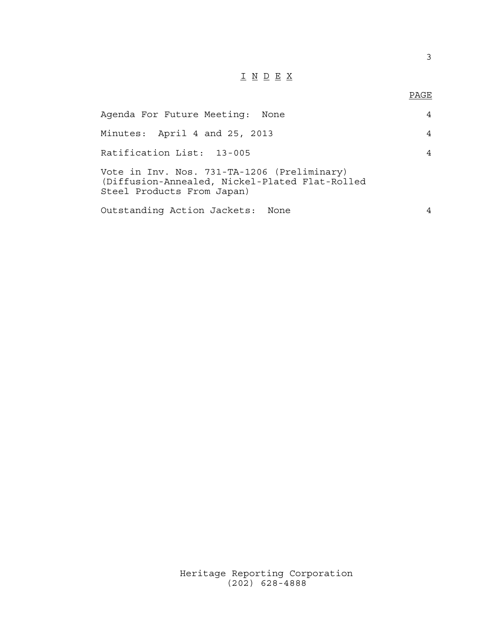# I N D E X

## en de la provincia de la provincia de la provincia de la provincia de la provincia de la provincia de la provi<br>Para la provincia de la provincia de la provincia de la provincia de la provincia de la provincia de la provin

| Agenda For Future Meeting: None                                                                                             |   |  |
|-----------------------------------------------------------------------------------------------------------------------------|---|--|
| Minutes: April 4 and 25, 2013                                                                                               | 4 |  |
| Ratification List: 13-005                                                                                                   |   |  |
| Vote in Inv. Nos. 731-TA-1206 (Preliminary)<br>(Diffusion-Annealed, Nickel-Plated Flat-Rolled<br>Steel Products From Japan) |   |  |
| Outstanding Action Jackets: None                                                                                            |   |  |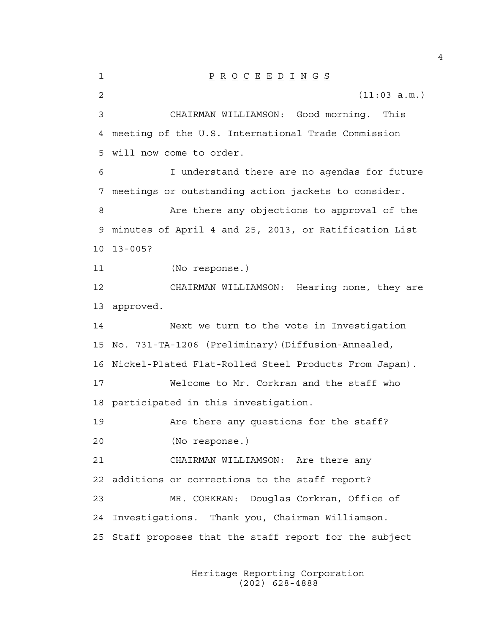1 P R O C E E D I N G S 2 (11:03 a.m.) 3 CHAIRMAN WILLIAMSON: Good morning. This 4 meeting of the U.S. International Trade Commission 5 will now come to order. 6 I understand there are no agendas for future 7 meetings or outstanding action jackets to consider. 8 Are there any objections to approval of the 9 minutes of April 4 and 25, 2013, or Ratification List 10 13-005? 11 (No response.) 12 CHAIRMAN WILLIAMSON: Hearing none, they are 13 approved. 14 Next we turn to the vote in Investigation 15 No. 731-TA-1206 (Preliminary)(Diffusion-Annealed, 16 Nickel-Plated Flat-Rolled Steel Products From Japan). 17 Welcome to Mr. Corkran and the staff who 18 participated in this investigation. 19 Are there any questions for the staff? 20 (No response.) 21 CHAIRMAN WILLIAMSON: Are there any 22 additions or corrections to the staff report? 23 MR. CORKRAN: Douglas Corkran, Office of 24 Investigations. Thank you, Chairman Williamson. 25 Staff proposes that the staff report for the subject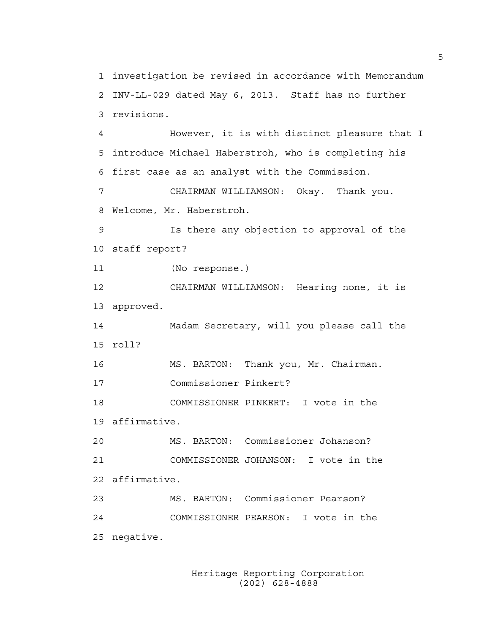1 investigation be revised in accordance with Memorandum 2 INV-LL-029 dated May 6, 2013. Staff has no further 3 revisions. 4 However, it is with distinct pleasure that I 5 introduce Michael Haberstroh, who is completing his 6 first case as an analyst with the Commission. 7 CHAIRMAN WILLIAMSON: Okay. Thank you. 8 Welcome, Mr. Haberstroh. 9 Is there any objection to approval of the 10 staff report? 11 (No response.) 12 CHAIRMAN WILLIAMSON: Hearing none, it is 13 approved. 14 Madam Secretary, will you please call the 15 roll? 16 MS. BARTON: Thank you, Mr. Chairman. 17 Commissioner Pinkert? 18 COMMISSIONER PINKERT: I vote in the 19 affirmative. 20 MS. BARTON: Commissioner Johanson? 21 COMMISSIONER JOHANSON: I vote in the 22 affirmative. 23 MS. BARTON: Commissioner Pearson? 24 COMMISSIONER PEARSON: I vote in the 25 negative.

> Heritage Reporting Corporation (202) 628-4888

5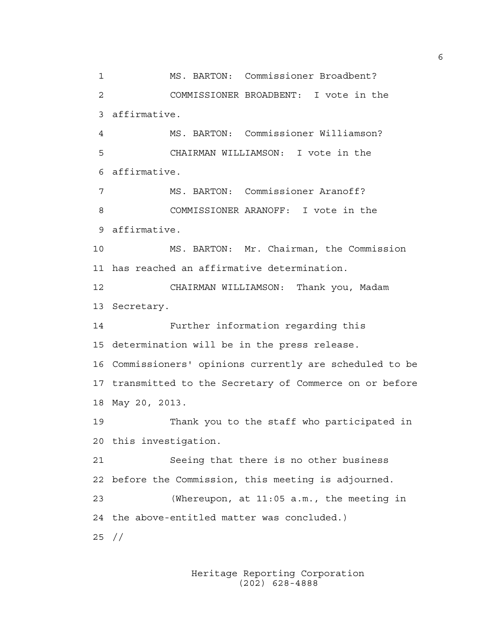1 MS. BARTON: Commissioner Broadbent? 2 COMMISSIONER BROADBENT: I vote in the 3 affirmative. 4 MS. BARTON: Commissioner Williamson? 5 CHAIRMAN WILLIAMSON: I vote in the 6 affirmative. 7 MS. BARTON: Commissioner Aranoff? 8 COMMISSIONER ARANOFF: I vote in the 9 affirmative. 10 MS. BARTON: Mr. Chairman, the Commission 11 has reached an affirmative determination. 12 CHAIRMAN WILLIAMSON: Thank you, Madam 13 Secretary. 14 Further information regarding this 15 determination will be in the press release. 16 Commissioners' opinions currently are scheduled to be 17 transmitted to the Secretary of Commerce on or before 18 May 20, 2013. 19 Thank you to the staff who participated in 20 this investigation. 21 Seeing that there is no other business 22 before the Commission, this meeting is adjourned. 23 (Whereupon, at 11:05 a.m., the meeting in 24 the above-entitled matter was concluded.) 25 //